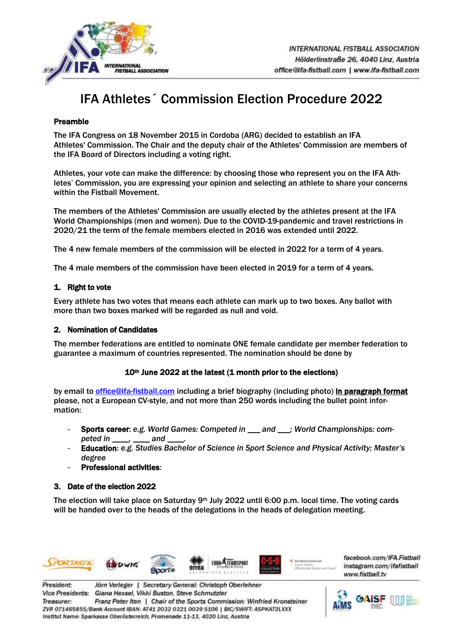

# IFA Athletes´ Commission Election Procedure 2022

## Preamble

The IFA Congress on 18 November 2015 in Cordoba (ARG) decided to establish an IFA Athletes' Commission. The Chair and the deputy chair of the Athletes' Commission are members of the IFA Board of Directors including a voting right.

Athletes, your vote can make the difference: by choosing those who represent you on the IFA Athletes' Commission, you are expressing your opinion and selecting an athlete to share your concerns within the Fistball Movement.

The members of the Athletes' Commission are usually elected by the athletes present at the IFA World Championships (men and women). Due to the COVID-19-pandemic and travel restrictions in 2020/21 the term of the female members elected in 2016 was extended until 2022.

The 4 new female members of the commission will be elected in 2022 for a term of 4 years.

The 4 male members of the commission have been elected in 2019 for a term of 4 years.

# 1. Right to vote

Every athlete has two votes that means each athlete can mark up to two boxes. Any ballot with more than two boxes marked will be regarded as null and void.

#### 2. Nomination of Candidates

The member federations are entitled to nominate ONE female candidate per member federation to guarantee a maximum of countries represented. The nomination should be done by

# 10<sup>th</sup> June 2022 at the latest (1 month prior to the elections)

by email to *office@ifa-fistball.com* including a brief biography (including photo) in paragraph format please, not a European CV-style, and not more than 250 words including the bullet point information:

- Sports career: e.g. World Games: Competed in \_\_\_ and \_\_\_; World Championships: com*peted in \_\_\_\_, \_\_\_\_ and \_\_\_\_.*
- Education: *e.g. Studies Bachelor of Science in Sport Science and Physical Activity; Master's degree*
- **Professional activities:**

# 3. Date of the election 2022

The election will take place on Saturday 9th July 2022 until 6:00 p.m. local time. The voting cards will be handed over to the heads of the delegations in the heads of delegation meeting.



facebook.com/IFA.Fistball instagram.com/ifafistball www.fistball.tv